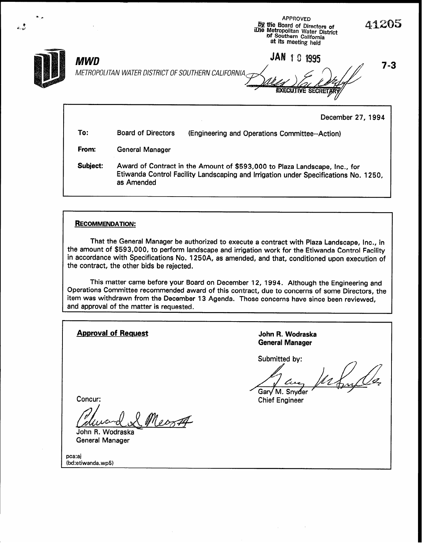| $\bullet$ . $\bullet$ |                                                                   |                           | APPROVED<br><b>By the Board of Directors of</b><br>ILhe Metropolitan Water District<br>Inf Southern California<br>at its meeting held | 41205   |
|-----------------------|-------------------------------------------------------------------|---------------------------|---------------------------------------------------------------------------------------------------------------------------------------|---------|
|                       | <b>MWD</b><br>METROPOLITAN WATER DISTRICT OF SOUTHERN CALIFORNIA, |                           | <b>JAN 10 1995</b><br><b>EXECUTIVE SECRETARY</b>                                                                                      | $7 - 3$ |
|                       |                                                                   |                           | December 27, 1994                                                                                                                     |         |
|                       | To:                                                               | <b>Board of Directors</b> | (Engineering and Operations Committee--Action)                                                                                        |         |
|                       | From:                                                             | <b>General Manager</b>    |                                                                                                                                       |         |

Subject: Award of Contract in the Amount of \$593,000 to Plaza Landscape, Inc., for Etiwanda Control Facility Landscaping and Irrigation under Specifications No. 1250, as Amended

### RECOMMENDATION:

ه<br>من بند

(bd.ctiwanda.w

That the General Manager be authorized to execute a contract with Plaza Landscape, Inc., in the amount of \$593,000, to perform landscape and irrigation work for the Etiwanda Control Facility in accordance with Specifications No. 1250A, as amended, and that, conditioned upon execution of the contract, the other bids be rejected.

This matter came before your Board on December 12, 1994. Although the Engineering and Operations Committee recommended award of this contract, due to concerns of some Directors, the item was withdrawn from the December 13 Agenda. Those concerns have since been reviewed, and approval of the matter is requested.

Approval of Request Approval of Request Approval of Request Approval Approval Approval Approval Approval Approval Approval Approval Approval Approval Approval Approval Approval Approval Approval Approval Approval Approval General Manager Submitted by: Gary M. Snyder Concur: Chief Engineer Mecza John R. Wodraska General Manager pca.a<br>..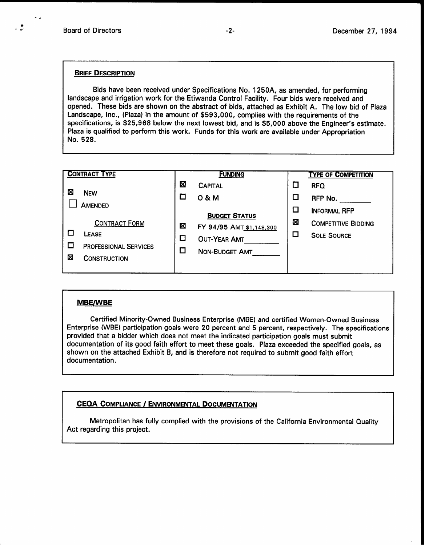-\*

 $\frac{1}{2}$ 

#### BRIEF DESCRIPTION

Bids have been received under Specifications No. 1250A, as amended, for performing landscape and irrigation work for the Etiwanda Control Facility. Four bids were received and opened. These bids are shown on the abstract of bids, attached as Exhibit A. The low bid of Plaza Landscape, Inc., (Plaza) in the amount of \$593,000, complies with the requirements of the specifications, is \$25,968 below the next lowest bid, and is \$5,000 above the Engineer's estimate. Plaza is qualified to perform this work. Funds for this work are available under Appropriation No. 528.

| <b>CONTRACT TYPE</b> |                              | <b>FUNDING</b> |                          |        | <b>TYPE OF COMPETITION</b> |  |
|----------------------|------------------------------|----------------|--------------------------|--------|----------------------------|--|
|                      |                              | ⊠              | <b>CAPITAL</b>           | $\Box$ | <b>RFQ</b>                 |  |
| ⊠                    | <b>NEW</b>                   |                | 0 & M                    | □      | RFP No.                    |  |
| <b>AMENDED</b>       |                              |                | <b>BUDGET STATUS</b>     | 囗      | <b>INFORMAL RFP</b>        |  |
|                      | <b>CONTRACT FORM</b>         | ⊠              | FY 94/95 AMT_\$1,148,300 | ⊠      | <b>COMPETITIVE BIDDING</b> |  |
|                      | <b>LEASE</b>                 | $\Box$         | OUT-YEAR AMT             | $\Box$ | <b>SOLE SOURCE</b>         |  |
|                      | <b>PROFESSIONAL SERVICES</b> | ◘              | NON-BUDGET AMT           |        |                            |  |
| Ø                    | <b>CONSTRUCTION</b>          |                |                          |        |                            |  |
|                      |                              |                |                          |        |                            |  |

#### **MBE/WBE**

Certified Minority-Owned Business Enterprise (MBE) and certified Women-Owned Business Enterprise (WBE) participation goals were 20 percent and 5 percent, respectively. The specifications provided that a bidder which does not meet the indicated participation goals must submit documentation of its good faith effort to meet these goals. Plaza exceeded the specified goals, as shown on the attached Exhibit B, and is therefore not required to submit good faith effort documentation.

## CEQA COMPLIANCE / ENVIRONMENTAL DOCUMENTATION

Metropolitan has fully complied with the provisions of the California Environmental Quality Act regarding this project.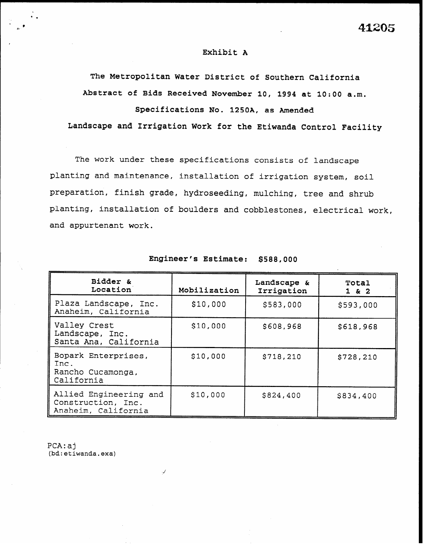### Exhibit A

The Metropolitan Water District of Southern California Abstract of Bids Received November 10, 1994 at 1O:OO a.m. Specifications No. 1250A, as Amended

Landscape and Irrigation Work for the Etiwanda Control Facility

The work under these specifications consists of landscape planting and maintenance, installation of irrigation system, soil preparation, finish grade, hydroseeding, mulching, tree and shrub planting, installation of boulders and cobblestones, electrical work, and appurtenant work.

| Bidder &<br>Location                                                | Mobilization | Landscape &<br>Irrigation | Total<br>$1 \& 2$ |
|---------------------------------------------------------------------|--------------|---------------------------|-------------------|
| Plaza Landscape, Inc.<br>Anaheim, California                        | \$10,000     | \$583,000                 | \$593,000         |
| Valley Crest<br>Landscape, Inc.<br>Santa Ana, California            | \$10,000     | \$608,968                 | \$618,968         |
| Bopark Enterprises,<br>Inc.<br>Rancho Cucamonga,<br>California      | \$10,000     | \$718,210                 | \$728,210         |
| Allied Engineering and<br>Construction, Inc.<br>Anaheim, California | \$10,000     | \$824,400                 | \$834,400         |

Engineer's Estimate: \$588,000

PCA:aj (bd:etiwanda.exa)